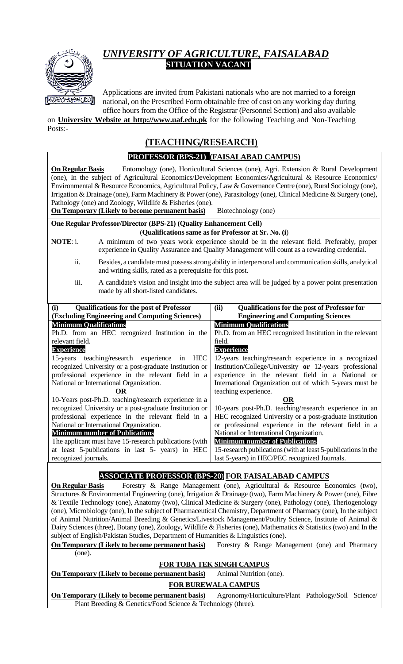

## *UNIVERSITY OF AGRICULTURE, FAISALABAD*  **SITUATION VACANT**

Applications are invited from Pakistani nationals who are not married to a foreign national, on the Prescribed Form obtainable free of cost on any working day during office hours from the Office of the Registrar (Personnel Section) and also available

on **University Website at http://www.uaf.edu.pk** for the following Teaching and Non-Teaching Posts:-

## **(TEACHING/RESEARCH)**

## **PROFESSOR (BPS-21) (FAISALABAD CAMPUS) On Regular Basis** Entomology (one), Horticultural Sciences (one), Agri. Extension & Rural Development (one), In the subject of Agricultural Economics/Development Economics/Agricultural & Resource Economics/ Environmental & Resource Economics, Agricultural Policy, Law & Governance Centre (one), Rural Sociology (one), Irrigation & Drainage (one), Farm Machinery & Power (one), Parasitology (one), Clinical Medicine & Surgery (one), Pathology (one) and Zoology, Wildlife & Fisheries (one). **On Temporary (Likely to become permanent basis)** Biotechnology (one) **One Regular Professor/Director (BPS-21) (Quality Enhancement Cell)** (**Qualifications same as for Professor at Sr. No. (i**) **NOTE**: i. A minimum of two years work experience should be in the relevant field. Preferably, proper experience in Quality Assurance and Quality Management will count as a rewarding credential. ii. Besides, a candidate must possess strong ability in interpersonal and communication skills, analytical and writing skills, rated as a prerequisite for this post. iii. A candidate's vision and insight into the subject area will be judged by a power point presentation made by all short-listed candidates. **(i) Qualifications for the post of Professor (Excluding Engineering and Computing Sciences) (ii) Qualifications for the post of Professor for Engineering and Computing Sciences Minimum Qualifications** Ph.D. from an HEC recognized Institution in the relevant field. **Experience** 15-years teaching/research experience in HEC recognized University or a post-graduate Institution or professional experience in the relevant field in a National or International Organization. **OR** 10-Years post-Ph.D. teaching/research experience in a recognized University or a post-graduate Institution or professional experience in the relevant field in a National or International Organization. **Minimum number of Publications** The applicant must have 15-research publications (with at least 5-publications in last 5- years) in HEC recognized journals. **Minimum Qualifications** Ph.D. from an HEC recognized Institution in the relevant field. **Experience** 12-years teaching/research experience in a recognized Institution/College/University **or** 12-years professional experience in the relevant field in a National or International Organization out of which 5-years must be teaching experience. **OR** 10-years post-Ph.D. teaching/research experience in an HEC recognized University or a post-graduate Institution or professional experience in the relevant field in a National or International Organization. **Minimum number of Publications** 15-research publications (with at least 5-publications in the last 5-years) in HEC/PEC recognized Journals. **ASSOCIATE PROFESSOR (BPS-20) FOR FAISALABAD CAMPUS On Regular Basis** Forestry & Range Management (one), Agricultural & Resource Economics (two), Structures & Environmental Engineering (one), Irrigation & Drainage (two), Farm Machinery & Power (one), Fibre & Textile Technology (one), Anatomy (two), Clinical Medicine & Surgery (one), Pathology (one), Theriogenology (one), Microbiology (one), In the subject of Pharmaceutical Chemistry, Department of Pharmacy (one), In the subject of Animal Nutrition/Animal Breeding & Genetics/Livestock Management/Poultry Science, Institute of Animal & Dairy Sciences (three), Botany (one), Zoology, Wildlife & Fisheries (one), Mathematics & Statistics (two) and In the subject of English/Pakistan Studies, Department of Humanities & Linguistics (one). **On Temporary (Likely to become permanent basis)** Forestry & Range Management (one) and Pharmacy (one). **FOR TOBA TEK SINGH CAMPUS On Temporary (Likely to become permanent basis)** Animal Nutrition (one). **FOR BUREWALA CAMPUS**

**On Temporary (Likely to become permanent basis)** Agronomy/Horticulture/Plant Pathology/Soil Science/ Plant Breeding & Genetics/Food Science & Technology (three).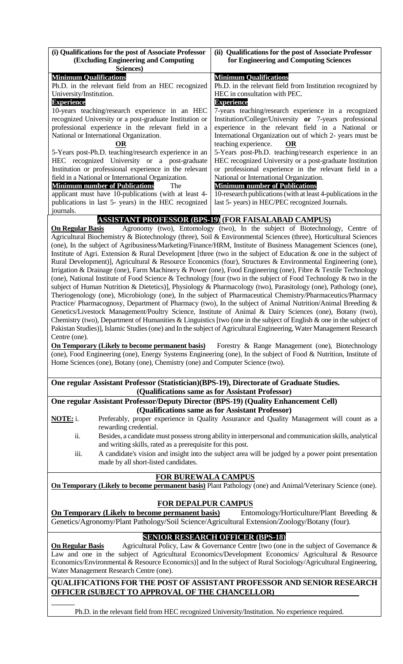| (i) Qualifications for the post of Associate Professor                                                                                                                                                                                     | (ii) Qualifications for the post of Associate Professor                                                                                     |  |  |  |
|--------------------------------------------------------------------------------------------------------------------------------------------------------------------------------------------------------------------------------------------|---------------------------------------------------------------------------------------------------------------------------------------------|--|--|--|
| <b>(Excluding Engineering and Computing</b><br>Sciences)                                                                                                                                                                                   | for Engineering and Computing Sciences                                                                                                      |  |  |  |
| <b>Minimum Qualifications</b>                                                                                                                                                                                                              | <b>Minimum Qualifications</b>                                                                                                               |  |  |  |
| Ph.D. in the relevant field from an HEC recognized                                                                                                                                                                                         | Ph.D. in the relevant field from Institution recognized by                                                                                  |  |  |  |
| University/Institution.                                                                                                                                                                                                                    | HEC in consultation with PEC.                                                                                                               |  |  |  |
| <b>Experience</b>                                                                                                                                                                                                                          | <b>Experience</b>                                                                                                                           |  |  |  |
| 10-years teaching/research experience in an HEC                                                                                                                                                                                            | 7-years teaching/research experience in a recognized                                                                                        |  |  |  |
| recognized University or a post-graduate Institution or                                                                                                                                                                                    | Institution/College/University or 7-years professional                                                                                      |  |  |  |
| professional experience in the relevant field in a<br>National or International Organization.                                                                                                                                              | experience in the relevant field in a National or                                                                                           |  |  |  |
| OR                                                                                                                                                                                                                                         | International Organization out of which 2- years must be<br>teaching experience.<br><b>OR</b>                                               |  |  |  |
| 5-Years post-Ph.D. teaching/research experience in an                                                                                                                                                                                      | 5-Years post-Ph.D. teaching/research experience in an                                                                                       |  |  |  |
| HEC recognized University or a post-graduate                                                                                                                                                                                               | HEC recognized University or a post-graduate Institution                                                                                    |  |  |  |
| Institution or professional experience in the relevant                                                                                                                                                                                     | or professional experience in the relevant field in a                                                                                       |  |  |  |
| field in a National or International Organization.                                                                                                                                                                                         | National or International Organization.                                                                                                     |  |  |  |
| <b>Minimum number of Publications</b><br>The                                                                                                                                                                                               | <b>Minimum number of Publications</b>                                                                                                       |  |  |  |
| applicant must have 10-publications (with at least 4-                                                                                                                                                                                      | 10-research publications (with at least 4-publications in the                                                                               |  |  |  |
| publications in last 5- years) in the HEC recognized                                                                                                                                                                                       | last 5- years) in HEC/PEC recognized Journals.                                                                                              |  |  |  |
| journals.                                                                                                                                                                                                                                  |                                                                                                                                             |  |  |  |
| <b>On Regular Basis</b>                                                                                                                                                                                                                    | <b>ASSISTANT PROFESSOR (BPS-19) (FOR FAISALABAD CAMPUS)</b><br>Agronomy (two), Entomology (two), In the subject of Biotechnology, Centre of |  |  |  |
|                                                                                                                                                                                                                                            | Agricultural Biochemistry & Biotechnology (three), Soil & Environmental Sciences (three), Horticultural Sciences                            |  |  |  |
|                                                                                                                                                                                                                                            | (one), In the subject of Agribusiness/Marketing/Finance/HRM, Institute of Business Management Sciences (one),                               |  |  |  |
|                                                                                                                                                                                                                                            | Institute of Agri. Extension & Rural Development [three (two in the subject of Education & one in the subject of                            |  |  |  |
|                                                                                                                                                                                                                                            | Rural Development)], Agricultural & Resource Economics (four), Structures & Environmental Engineering (one),                                |  |  |  |
|                                                                                                                                                                                                                                            | Irrigation & Drainage (one), Farm Machinery & Power (one), Food Engineering (one), Fibre & Textile Technology                               |  |  |  |
|                                                                                                                                                                                                                                            | (one), National Institute of Food Science & Technology [four (two in the subject of Food Technology & two in the                            |  |  |  |
|                                                                                                                                                                                                                                            | subject of Human Nutrition & Dietetics)], Physiology & Pharmacology (two), Parasitology (one), Pathology (one),                             |  |  |  |
|                                                                                                                                                                                                                                            | Theriogenology (one), Microbiology (one), In the subject of Pharmaceutical Chemistry/Pharmaceutics/Pharmacy                                 |  |  |  |
|                                                                                                                                                                                                                                            | Practice/ Pharmacognosy, Department of Pharmacy (two), In the subject of Animal Nutrition/Animal Breeding $\&$                              |  |  |  |
|                                                                                                                                                                                                                                            | Genetics/Livestock Management/Poultry Science, Institute of Animal & Dairy Sciences (one), Botany (two),                                    |  |  |  |
| Chemistry (two), Department of Humanities & Linguistics [two (one in the subject of English & one in the subject of<br>Pakistan Studies)], Islamic Studies (one) and In the subject of Agricultural Engineering, Water Management Research |                                                                                                                                             |  |  |  |
| Centre (one).                                                                                                                                                                                                                              |                                                                                                                                             |  |  |  |
| <b>On Temporary (Likely to become permanent basis)</b> Forestry & Range Management (one), Biotechnology                                                                                                                                    |                                                                                                                                             |  |  |  |
| (one), Food Engineering (one), Energy Systems Engineering (one), In the subject of Food & Nutrition, Institute of                                                                                                                          |                                                                                                                                             |  |  |  |
| Home Sciences (one), Botany (one), Chemistry (one) and Computer Science (two).                                                                                                                                                             |                                                                                                                                             |  |  |  |
|                                                                                                                                                                                                                                            |                                                                                                                                             |  |  |  |
| One regular Assistant Professor (Statistician)(BPS-19), Directorate of Graduate Studies.                                                                                                                                                   |                                                                                                                                             |  |  |  |
|                                                                                                                                                                                                                                            | (Qualifications same as for Assistant Professor)                                                                                            |  |  |  |
| One regular Assistant Professor/Deputy Director (BPS-19) (Quality Enhancement Cell)                                                                                                                                                        |                                                                                                                                             |  |  |  |
| (Qualifications same as for Assistant Professor)                                                                                                                                                                                           |                                                                                                                                             |  |  |  |
| Preferably, proper experience in Quality Assurance and Quality Management will count as a<br><b>NOTE:</b> i.                                                                                                                               |                                                                                                                                             |  |  |  |
| rewarding credential.                                                                                                                                                                                                                      |                                                                                                                                             |  |  |  |
| ii.<br>Besides, a candidate must possess strong ability in interpersonal and communication skills, analytical<br>and writing skills, rated as a prerequisite for this post.                                                                |                                                                                                                                             |  |  |  |
| iii.                                                                                                                                                                                                                                       | A candidate's vision and insight into the subject area will be judged by a power point presentation                                         |  |  |  |
| made by all short-listed candidates.                                                                                                                                                                                                       |                                                                                                                                             |  |  |  |
|                                                                                                                                                                                                                                            |                                                                                                                                             |  |  |  |
| <b>FOR BUREWALA CAMPUS</b>                                                                                                                                                                                                                 |                                                                                                                                             |  |  |  |
| <b>On Temporary (Likely to become permanent basis)</b> Plant Pathology (one) and Animal/Veterinary Science (one).                                                                                                                          |                                                                                                                                             |  |  |  |
|                                                                                                                                                                                                                                            |                                                                                                                                             |  |  |  |
| <b>FOR DEPALPUR CAMPUS</b>                                                                                                                                                                                                                 |                                                                                                                                             |  |  |  |
| <b>On Temporary (Likely to become permanent basis)</b><br>Entomology/Horticulture/Plant Breeding &                                                                                                                                         |                                                                                                                                             |  |  |  |
| Genetics/Agronomy/Plant Pathology/Soil Science/Agricultural Extension/Zoology/Botany (four).                                                                                                                                               |                                                                                                                                             |  |  |  |
| <b>SENIOR RESEARCH OFFICER (BPS-18)</b>                                                                                                                                                                                                    |                                                                                                                                             |  |  |  |
| Agricultural Policy, Law & Governance Centre [two (one in the subject of Governance $\&$<br><b>On Regular Basis</b>                                                                                                                        |                                                                                                                                             |  |  |  |
| Law and one in the subject of Agricultural Economics/Development Economics/ Agricultural & Resource                                                                                                                                        |                                                                                                                                             |  |  |  |
| Economics/Environmental & Resource Economics)] and In the subject of Rural Sociology/Agricultural Engineering,                                                                                                                             |                                                                                                                                             |  |  |  |
| Water Management Research Centre (one).                                                                                                                                                                                                    |                                                                                                                                             |  |  |  |
| QUALIFICATIONS FOR THE POST OF ASSISTANT PROFESSOR AND SENIOR RESEARCH                                                                                                                                                                     |                                                                                                                                             |  |  |  |
| <b>OFFICER (SUBJECT TO APPROVAL OF THE CHANCELLOR)</b>                                                                                                                                                                                     |                                                                                                                                             |  |  |  |

Ph.D. in the relevant field from HEC recognized University/Institution. No experience required.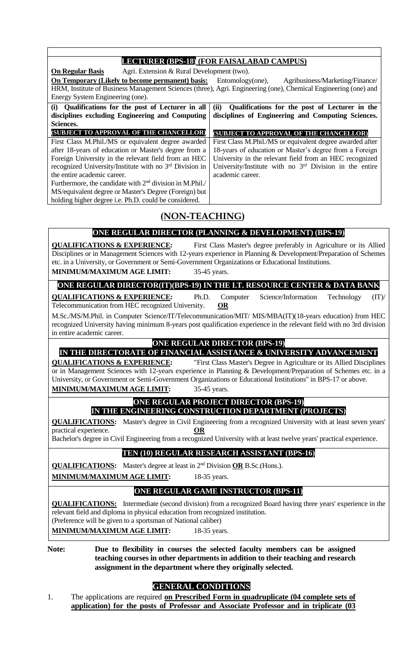|                                                                                                                                                                                                                                                                                                                                                                                                                                                                                                                 | <b>LECTURER (BPS-18) (FOR FAISALABAD CAMPUS)</b>                                                                                                                                                                                                                                                                                                                                                                                     |  |  |  |
|-----------------------------------------------------------------------------------------------------------------------------------------------------------------------------------------------------------------------------------------------------------------------------------------------------------------------------------------------------------------------------------------------------------------------------------------------------------------------------------------------------------------|--------------------------------------------------------------------------------------------------------------------------------------------------------------------------------------------------------------------------------------------------------------------------------------------------------------------------------------------------------------------------------------------------------------------------------------|--|--|--|
| Agri. Extension & Rural Development (two).<br><b>On Regular Basis</b><br>On Temporary (Likely to become permanent) basis:<br>Energy System Engineering (one).                                                                                                                                                                                                                                                                                                                                                   | Entomology(one),<br>Agribusiness/Marketing/Finance/<br>HRM, Institute of Business Management Sciences (three), Agri. Engineering (one), Chemical Engineering (one) and                                                                                                                                                                                                                                                               |  |  |  |
| Qualifications for the post of Lecturer in all<br>(ii)<br>Qualifications for the post of Lecturer in the<br>(i)<br>disciplines excluding Engineering and Computing<br>disciplines of Engineering and Computing Sciences.<br>Sciences.                                                                                                                                                                                                                                                                           |                                                                                                                                                                                                                                                                                                                                                                                                                                      |  |  |  |
| (SUBJECT TO APPROVAL OF THE CHANCELLOR)<br>First Class M.Phil./MS or equivalent degree awarded<br>after 18-years of education or Master's degree from a<br>Foreign University in the relevant field from an HEC<br>recognized University/Institute with no 3 <sup>rd</sup> Division in<br>the entire academic career.<br>Furthermore, the candidate with 2 <sup>nd</sup> division in M.Phil./<br>MS/equivalent degree or Master's Degree (Foreign) but<br>holding higher degree i.e. Ph.D. could be considered. | (SUBJECT TO APPROVAL OF THE CHANCELLOR)<br>First Class M.Phil./MS or equivalent degree awarded after<br>18-years of education or Master's degree from a Foreign<br>University in the relevant field from an HEC recognized<br>University/Institute with no 3 <sup>rd</sup> Division in the entire<br>academic career.                                                                                                                |  |  |  |
| (NON-TEACHING)                                                                                                                                                                                                                                                                                                                                                                                                                                                                                                  |                                                                                                                                                                                                                                                                                                                                                                                                                                      |  |  |  |
|                                                                                                                                                                                                                                                                                                                                                                                                                                                                                                                 | ONE REGULAR DIRECTOR (PLANNING & DEVELOPMENT) (BPS-19)                                                                                                                                                                                                                                                                                                                                                                               |  |  |  |
| <b>QUALIFICATIONS &amp; EXPERIENCE:</b><br>etc. in a University, or Government or Semi-Government Organizations or Educational Institutions.<br>MINIMUM/MAXIMUM AGE LIMIT:                                                                                                                                                                                                                                                                                                                                      | First Class Master's degree preferably in Agriculture or its Allied<br>Disciplines or in Management Sciences with 12-years experience in Planning & Development/Preparation of Schemes<br>35-45 years.                                                                                                                                                                                                                               |  |  |  |
|                                                                                                                                                                                                                                                                                                                                                                                                                                                                                                                 | ONE REGULAR DIRECTOR(IT)(BPS-19) IN THE I.T. RESOURCE CENTER & DATA BANK                                                                                                                                                                                                                                                                                                                                                             |  |  |  |
| <b>QUALIFICATIONS &amp; EXPERIENCE:</b><br>Ph.D.<br>Telecommunication from HEC recognized University.                                                                                                                                                                                                                                                                                                                                                                                                           | Science/Information<br>(TT)<br>Computer<br>Technology<br><b>OR</b><br>M.Sc./MS/M.Phil. in Computer Science/IT/Telecommunication/MIT/ MIS/MBA(IT)(18-years education) from HEC<br>recognized University having minimum 8-years post qualification experience in the relevant field with no 3rd division                                                                                                                               |  |  |  |
| in entire academic career.                                                                                                                                                                                                                                                                                                                                                                                                                                                                                      |                                                                                                                                                                                                                                                                                                                                                                                                                                      |  |  |  |
| <b>QUALIFICATIONS &amp; EXPERIENCE:</b><br><b>MINIMUM/MAXIMUM AGE LIMIT:</b>                                                                                                                                                                                                                                                                                                                                                                                                                                    | <b>ONE REGULAR DIRECTOR (BPS-19)</b><br>IN THE DIRECTORATE OF FINANCIAL ASSISTANCE & UNIVERSITY ADVANCEMENT<br>"First Class Master's Degree in Agriculture or its Allied Disciplines<br>or in Management Sciences with 12-years experience in Planning & Development/Preparation of Schemes etc. in a<br>University, or Government or Semi-Government Organizations or Educational Institutions" in BPS-17 or above.<br>35-45 years. |  |  |  |
|                                                                                                                                                                                                                                                                                                                                                                                                                                                                                                                 | <b>ONE REGULAR PROJECT DIRECTOR (BPS-19)</b>                                                                                                                                                                                                                                                                                                                                                                                         |  |  |  |
| practical experience.<br>OR                                                                                                                                                                                                                                                                                                                                                                                                                                                                                     | IN THE ENGINEERING CONSTRUCTION DEPARTMENT (PROJECTS)<br><b>QUALIFICATIONS:</b> Master's degree in Civil Engineering from a recognized University with at least seven years'<br>Bachelor's degree in Civil Engineering from a recognized University with at least twelve years' practical experience.                                                                                                                                |  |  |  |
| TEN (10) REGULAR RESEARCH ASSISTANT (BPS-16)                                                                                                                                                                                                                                                                                                                                                                                                                                                                    |                                                                                                                                                                                                                                                                                                                                                                                                                                      |  |  |  |
| <b>QUALIFICATIONS:</b> Master's degree at least in 2 <sup>nd</sup> Division <b>OR</b> B.Sc. (Hons.).                                                                                                                                                                                                                                                                                                                                                                                                            |                                                                                                                                                                                                                                                                                                                                                                                                                                      |  |  |  |
| <b>MINIMUM/MAXIMUM AGE LIMIT:</b>                                                                                                                                                                                                                                                                                                                                                                                                                                                                               | 18-35 years.                                                                                                                                                                                                                                                                                                                                                                                                                         |  |  |  |
|                                                                                                                                                                                                                                                                                                                                                                                                                                                                                                                 | <b>ONE REGULAR GAME INSTRUCTOR (BPS-11)</b>                                                                                                                                                                                                                                                                                                                                                                                          |  |  |  |
| relevant field and diploma in physical education from recognized institution.<br>(Preference will be given to a sportsman of National caliber)                                                                                                                                                                                                                                                                                                                                                                  | <b>QUALIFICATIONS:</b> Intermediate (second division) from a recognized Board having three years' experience in the                                                                                                                                                                                                                                                                                                                  |  |  |  |
| <b>MINIMUM/MAXIMUM AGE LIMIT:</b>                                                                                                                                                                                                                                                                                                                                                                                                                                                                               | 18-35 years.                                                                                                                                                                                                                                                                                                                                                                                                                         |  |  |  |
| Note:<br>Due to flexibility in courses the selected faculty members can be assigned<br>teaching courses in other departments in addition to their teaching and research<br>assignment in the department where they originally selected.                                                                                                                                                                                                                                                                         |                                                                                                                                                                                                                                                                                                                                                                                                                                      |  |  |  |
| <b>GENERAL CONDITIONS</b>                                                                                                                                                                                                                                                                                                                                                                                                                                                                                       |                                                                                                                                                                                                                                                                                                                                                                                                                                      |  |  |  |
| The applications are required on Prescribed Form in quadruplicate (04 complete sets of<br>1.                                                                                                                                                                                                                                                                                                                                                                                                                    |                                                                                                                                                                                                                                                                                                                                                                                                                                      |  |  |  |

**application) for the posts of Professor and Associate Professor and in triplicate (03**